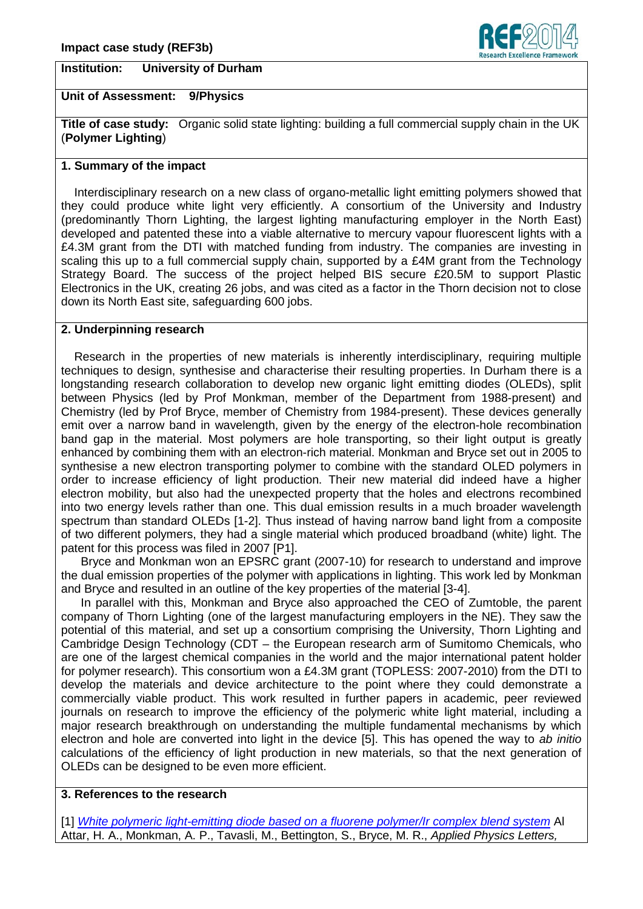## **Institution: University of Durham**



# **Unit of Assessment: 9/Physics**

**Title of case study:** Organic solid state lighting: building a full commercial supply chain in the UK (**Polymer Lighting**)

## **1. Summary of the impact**

 Interdisciplinary research on a new class of organo-metallic light emitting polymers showed that they could produce white light very efficiently. A consortium of the University and Industry (predominantly Thorn Lighting, the largest lighting manufacturing employer in the North East) developed and patented these into a viable alternative to mercury vapour fluorescent lights with a £4.3M grant from the DTI with matched funding from industry. The companies are investing in scaling this up to a full commercial supply chain, supported by a £4M grant from the Technology Strategy Board. The success of the project helped BIS secure £20.5M to support Plastic Electronics in the UK, creating 26 jobs, and was cited as a factor in the Thorn decision not to close down its North East site, safeguarding 600 jobs.

# **2. Underpinning research**

 Research in the properties of new materials is inherently interdisciplinary, requiring multiple techniques to design, synthesise and characterise their resulting properties. In Durham there is a longstanding research collaboration to develop new organic light emitting diodes (OLEDs), split between Physics (led by Prof Monkman, member of the Department from 1988-present) and Chemistry (led by Prof Bryce, member of Chemistry from 1984-present). These devices generally emit over a narrow band in wavelength, given by the energy of the electron-hole recombination band gap in the material. Most polymers are hole transporting, so their light output is greatly enhanced by combining them with an electron-rich material. Monkman and Bryce set out in 2005 to synthesise a new electron transporting polymer to combine with the standard OLED polymers in order to increase efficiency of light production. Their new material did indeed have a higher electron mobility, but also had the unexpected property that the holes and electrons recombined into two energy levels rather than one. This dual emission results in a much broader wavelength spectrum than standard OLEDs [1-2]. Thus instead of having narrow band light from a composite of two different polymers, they had a single material which produced broadband (white) light. The patent for this process was filed in 2007 [P1].

 Bryce and Monkman won an EPSRC grant (2007-10) for research to understand and improve the dual emission properties of the polymer with applications in lighting. This work led by Monkman and Bryce and resulted in an outline of the key properties of the material [3-4].

 In parallel with this, Monkman and Bryce also approached the CEO of Zumtoble, the parent company of Thorn Lighting (one of the largest manufacturing employers in the NE). They saw the potential of this material, and set up a consortium comprising the University, Thorn Lighting and Cambridge Design Technology (CDT – the European research arm of Sumitomo Chemicals, who are one of the largest chemical companies in the world and the major international patent holder for polymer research). This consortium won a £4.3M grant (TOPLESS: 2007-2010) from the DTI to develop the materials and device architecture to the point where they could demonstrate a commercially viable product. This work resulted in further papers in academic, peer reviewed journals on research to improve the efficiency of the polymeric white light material, including a major research breakthrough on understanding the multiple fundamental mechanisms by which electron and hole are converted into light in the device [5]. This has opened the way to *ab initio* calculations of the efficiency of light production in new materials, so that the next generation of OLEDs can be designed to be even more efficient.

## **3. References to the research**

[1] *[White polymeric light-emitting diode based on a fluorene polymer/Ir complex blend system](http://scitation.aip.org/content/aip/journal/apl/86/12/10.1063/1.1873046)* Al Attar, H. A., Monkman, A. P., Tavasli, M., Bettington, S., Bryce, M. R., *Applied Physics Letters,*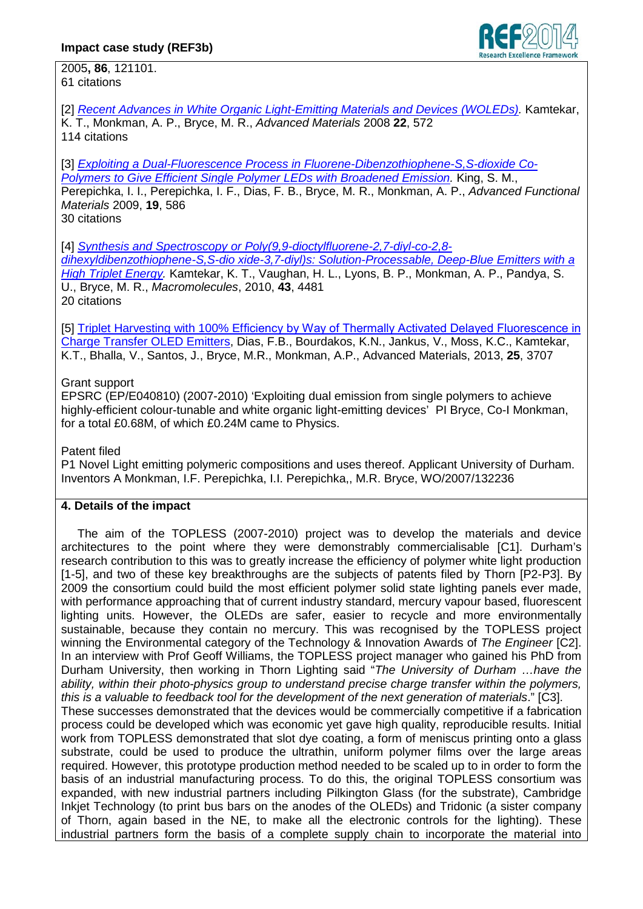

2005**, 86**, 121101. 61 citations

[2] *[Recent Advances in White Organic Light-Emitting Materials and Devices \(WOLEDs\).](http://onlinelibrary.wiley.com/doi/10.1002/adma.200902148/abstract)* Kamtekar,

K. T., Monkman, A. P., Bryce, M. R., *Advanced Materials* 2008 **22**, 572 114 citations

[3] *[Exploiting a Dual-Fluorescence Process in Fluorene-Dibenzothiophene-S,S-dioxide Co-](http://onlinelibrary.wiley.com/doi/10.1002/adfm.200801237/abstract)[Polymers to Give Efficient Single Polymer LEDs with Broadened Emission.](http://onlinelibrary.wiley.com/doi/10.1002/adfm.200801237/abstract)* King, S. M.,

Perepichka, I. I., Perepichka, I. F., Dias, F. B., Bryce, M. R., Monkman, A. P., *Advanced Functional Materials* 2009, **19**, 586

30 citations

[4] *[Synthesis and Spectroscopy or Poly\(9,9-dioctylfluorene-2,7-diyl-co-2,8-](http://pubs.acs.org/doi/abs/10.1021/ma100566p)*

*[dihexyldibenzothiophene-S,S-dio xide-3,7-diyl\)s: Solution-Processable, Deep-Blue Emitters with a](http://pubs.acs.org/doi/abs/10.1021/ma100566p)  [High Triplet Energy.](http://pubs.acs.org/doi/abs/10.1021/ma100566p)* Kamtekar, K. T., Vaughan, H. L., Lyons, B. P., Monkman, A. P., Pandya, S. U., Bryce, M. R., *Macromolecules*, 2010, **43**, 4481 20 citations

[5] Triplet Harvesting with 100% Efficiency by Way of Thermally Activated Delayed Fluorescence in [Charge Transfer OLED Emitters,](http://onlinelibrary.wiley.com/doi/10.1002/adma.201300753/abstract) Dias, F.B., Bourdakos, K.N., Jankus, V., Moss, K.C., Kamtekar, K.T., Bhalla, V., Santos, J., Bryce, M.R., Monkman, A.P., Advanced Materials, 2013, **25**, 3707

# Grant support

EPSRC (EP/E040810) (2007-2010) 'Exploiting dual emission from single polymers to achieve highly-efficient colour-tunable and white organic light-emitting devices' PI Bryce, Co-I Monkman, for a total £0.68M, of which £0.24M came to Physics.

Patent filed

P1 Novel Light emitting polymeric compositions and uses thereof. Applicant University of Durham. Inventors A Monkman, I.F. Perepichka, I.I. Perepichka,, M.R. Bryce, WO/2007/132236

## **4. Details of the impact**

 The aim of the TOPLESS (2007-2010) project was to develop the materials and device architectures to the point where they were demonstrably commercialisable [C1]. Durham's research contribution to this was to greatly increase the efficiency of polymer white light production [1-5], and two of these key breakthroughs are the subjects of patents filed by Thorn [P2-P3]. By 2009 the consortium could build the most efficient polymer solid state lighting panels ever made, with performance approaching that of current industry standard, mercury vapour based, fluorescent lighting units. However, the OLEDs are safer, easier to recycle and more environmentally sustainable, because they contain no mercury. This was recognised by the TOPLESS project winning the Environmental category of the Technology & Innovation Awards of *The Engineer* [C2]. In an interview with Prof Geoff Williams, the TOPLESS project manager who gained his PhD from Durham University, then working in Thorn Lighting said "*The University of Durham …have the ability, within their photo-physics group to understand precise charge transfer within the polymers, this is a valuable to feedback tool for the development of the next generation of materials*." [C3]. These successes demonstrated that the devices would be commercially competitive if a fabrication process could be developed which was economic yet gave high quality, reproducible results. Initial work from TOPLESS demonstrated that slot dye coating, a form of meniscus printing onto a glass

substrate, could be used to produce the ultrathin, uniform polymer films over the large areas required. However, this prototype production method needed to be scaled up to in order to form the basis of an industrial manufacturing process. To do this, the original TOPLESS consortium was expanded, with new industrial partners including Pilkington Glass (for the substrate), Cambridge Inkjet Technology (to print bus bars on the anodes of the OLEDs) and Tridonic (a sister company of Thorn, again based in the NE, to make all the electronic controls for the lighting). These industrial partners form the basis of a complete supply chain to incorporate the material into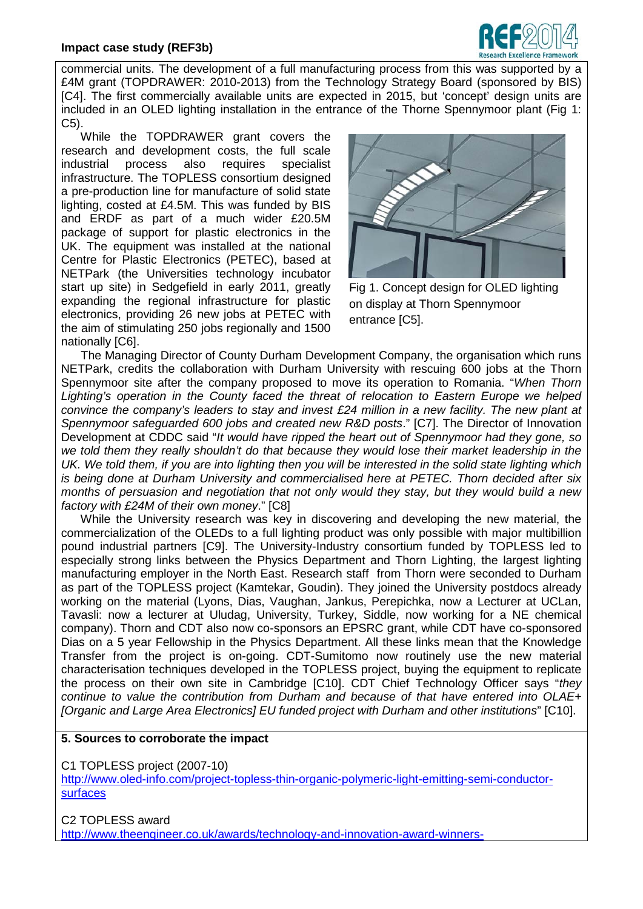#### **Impact case study (REF3b)**



commercial units. The development of a full manufacturing process from this was supported by a £4M grant (TOPDRAWER: 2010-2013) from the Technology Strategy Board (sponsored by BIS) [C4]. The first commercially available units are expected in 2015, but 'concept' design units are included in an OLED lighting installation in the entrance of the Thorne Spennymoor plant (Fig 1: C5).

While the TOPDRAWER grant covers the research and development costs, the full scale industrial process also requires specialist infrastructure. The TOPLESS consortium designed a pre-production line for manufacture of solid state lighting, costed at £4.5M. This was funded by BIS and ERDF as part of a much wider £20.5M package of support for plastic electronics in the UK. The equipment was installed at the national Centre for Plastic Electronics (PETEC), based at NETPark (the Universities technology incubator start up site) in Sedgefield in early 2011, greatly expanding the regional infrastructure for plastic electronics, providing 26 new jobs at PETEC with the aim of stimulating 250 jobs regionally and 1500 nationally [C6].



Fig 1. Concept design for OLED lighting on display at Thorn Spennymoor entrance [C5].

 The Managing Director of County Durham Development Company, the organisation which runs NETPark, credits the collaboration with Durham University with rescuing 600 jobs at the Thorn Spennymoor site after the company proposed to move its operation to Romania. "*When Thorn Lighting's operation in the County faced the threat of relocation to Eastern Europe we helped convince the company's leaders to stay and invest £24 million in a new facility. The new plant at Spennymoor safeguarded 600 jobs and created new R&D posts*." [C7]. The Director of Innovation Development at CDDC said "*It would have ripped the heart out of Spennymoor had they gone, so we told them they really shouldn't do that because they would lose their market leadership in the UK. We told them, if you are into lighting then you will be interested in the solid state lighting which is being done at Durham University and commercialised here at PETEC. Thorn decided after six months of persuasion and negotiation that not only would they stay, but they would build a new factory with £24M of their own money*." [C8]

 While the University research was key in discovering and developing the new material, the commercialization of the OLEDs to a full lighting product was only possible with major multibillion pound industrial partners [C9]. The University-Industry consortium funded by TOPLESS led to especially strong links between the Physics Department and Thorn Lighting, the largest lighting manufacturing employer in the North East. Research staff from Thorn were seconded to Durham as part of the TOPLESS project (Kamtekar, Goudin). They joined the University postdocs already working on the material (Lyons, Dias, Vaughan, Jankus, Perepichka, now a Lecturer at UCLan, Tavasli: now a lecturer at Uludag, University, Turkey, Siddle, now working for a NE chemical company). Thorn and CDT also now co-sponsors an EPSRC grant, while CDT have co-sponsored Dias on a 5 year Fellowship in the Physics Department. All these links mean that the Knowledge Transfer from the project is on-going. CDT-Sumitomo now routinely use the new material characterisation techniques developed in the TOPLESS project, buying the equipment to replicate the process on their own site in Cambridge [C10]. CDT Chief Technology Officer says "*they continue to value the contribution from Durham and because of that have entered into OLAE+ [Organic and Large Area Electronics] EU funded project with Durham and other institutions*" [C10].

#### **5. Sources to corroborate the impact**

C1 TOPLESS project (2007-10)

[http://www.oled-info.com/project-topless-thin-organic-polymeric-light-emitting-semi-conductor](http://www.oled-info.com/project-topless-thin-organic-polymeric-light-emitting-semi-conductor-surfaces)[surfaces](http://www.oled-info.com/project-topless-thin-organic-polymeric-light-emitting-semi-conductor-surfaces)

C2 TOPLESS award [http://www.theengineer.co.uk/awards/technology-and-innovation-award-winners-](http://www.theengineer.co.uk/awards/technology-and-innovation-award-winners-revealed/1006316.article)